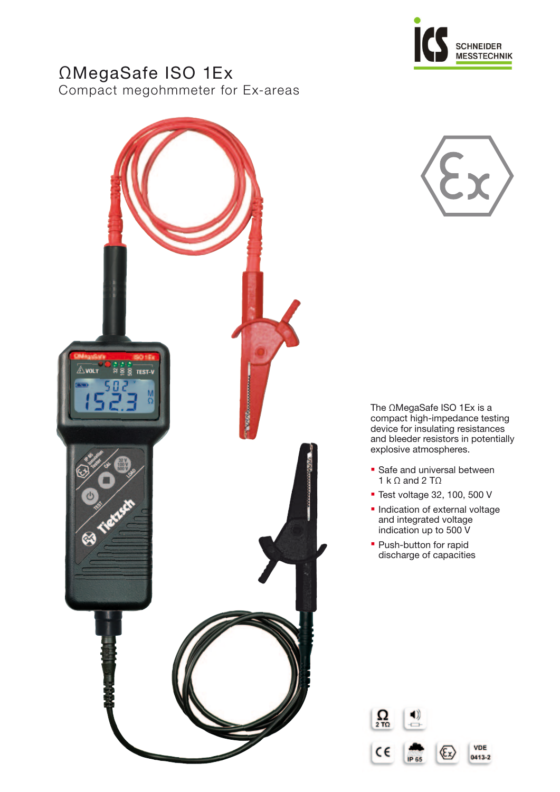

# ΩMegaSafe ISO 1Ex

Compact megohmmeter for Ex-areas





The ΩMegaSafe ISO 1Ex is a compact high-impedance testing device for insulating resistances and bleeder resistors in potentially explosive atmospheres.

- **Safe and universal between** 1 k  $\Omega$  and 2 T $\Omega$
- Test voltage 32, 100, 500 V
- **· Indication of external voltage** and integrated voltage indication up to 500 V
- Push-button for rapid discharge of capacities